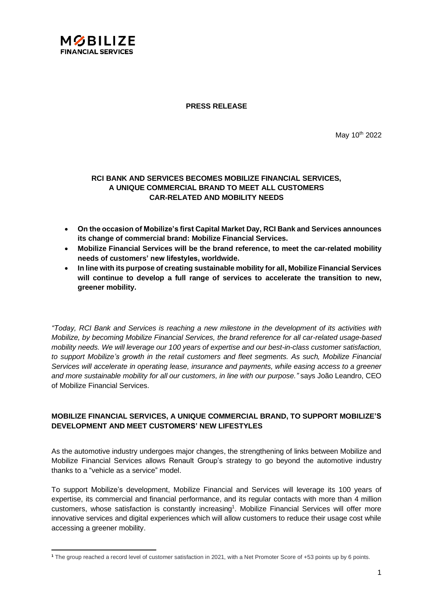

**PRESS RELEASE**

May 10th 2022

# **RCI BANK AND SERVICES BECOMES MOBILIZE FINANCIAL SERVICES, A UNIQUE COMMERCIAL BRAND TO MEET ALL CUSTOMERS CAR-RELATED AND MOBILITY NEEDS**

- **On the occasion of Mobilize's first Capital Market Day, RCI Bank and Services announces its change of commercial brand: Mobilize Financial Services.**
- **Mobilize Financial Services will be the brand reference, to meet the car-related mobility needs of customers' new lifestyles, worldwide.**
- **In line with its purpose of creating sustainable mobility for all, Mobilize Financial Services will continue to develop a full range of services to accelerate the transition to new, greener mobility.**

*"Today, RCI Bank and Services is reaching a new milestone in the development of its activities with Mobilize, by becoming Mobilize Financial Services, the brand reference for all car-related usage-based mobility needs. We will leverage our 100 years of expertise and our best-in-class customer satisfaction, to support Mobilize's growth in the retail customers and fleet segments. As such, Mobilize Financial Services will accelerate in operating lease, insurance and payments, while easing access to a greener and more sustainable mobility for all our customers, in line with our purpose."* says João Leandro, CEO of Mobilize Financial Services.

### **MOBILIZE FINANCIAL SERVICES, A UNIQUE COMMERCIAL BRAND, TO SUPPORT MOBILIZE'S DEVELOPMENT AND MEET CUSTOMERS' NEW LIFESTYLES**

As the automotive industry undergoes major changes, the strengthening of links between Mobilize and Mobilize Financial Services allows Renault Group's strategy to go beyond the automotive industry thanks to a "vehicle as a service" model.

To support Mobilize's development, Mobilize Financial and Services will leverage its 100 years of expertise, its commercial and financial performance, and its regular contacts with more than 4 million customers, whose satisfaction is constantly increasing<sup>1</sup>. Mobilize Financial Services will offer more innovative services and digital experiences which will allow customers to reduce their usage cost while accessing a greener mobility.

**<sup>1</sup>** The group reached a record level of customer satisfaction in 2021, with a Net Promoter Score of +53 points up by 6 points.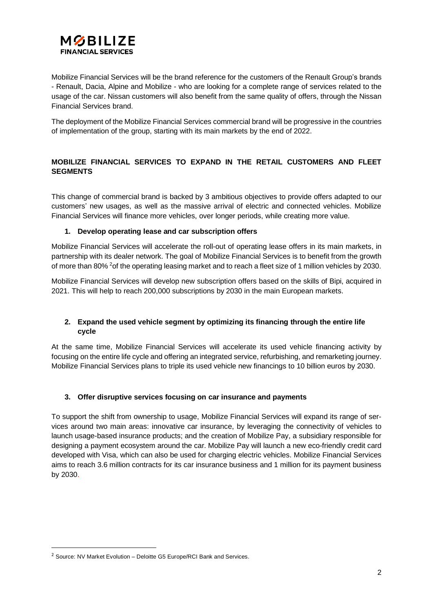

Mobilize Financial Services will be the brand reference for the customers of the Renault Group's brands - Renault, Dacia, Alpine and Mobilize - who are looking for a complete range of services related to the usage of the car. Nissan customers will also benefit from the same quality of offers, through the Nissan Financial Services brand.

The deployment of the Mobilize Financial Services commercial brand will be progressive in the countries of implementation of the group, starting with its main markets by the end of 2022.

# **MOBILIZE FINANCIAL SERVICES TO EXPAND IN THE RETAIL CUSTOMERS AND FLEET SEGMENTS**

This change of commercial brand is backed by 3 ambitious objectives to provide offers adapted to our customers' new usages, as well as the massive arrival of electric and connected vehicles. Mobilize Financial Services will finance more vehicles, over longer periods, while creating more value.

### **1. Develop operating lease and car subscription offers**

Mobilize Financial Services will accelerate the roll-out of operating lease offers in its main markets, in partnership with its dealer network. The goal of Mobilize Financial Services is to benefit from the growth of more than 80% <sup>2</sup>of the operating leasing market and to reach a fleet size of 1 million vehicles by 2030.

Mobilize Financial Services will develop new subscription offers based on the skills of Bipi, acquired in 2021. This will help to reach 200,000 subscriptions by 2030 in the main European markets.

### **2. Expand the used vehicle segment by optimizing its financing through the entire life cycle**

At the same time, Mobilize Financial Services will accelerate its used vehicle financing activity by focusing on the entire life cycle and offering an integrated service, refurbishing, and remarketing journey. Mobilize Financial Services plans to triple its used vehicle new financings to 10 billion euros by 2030.

# **3. Offer disruptive services focusing on car insurance and payments**

To support the shift from ownership to usage, Mobilize Financial Services will expand its range of services around two main areas: innovative car insurance, by leveraging the connectivity of vehicles to launch usage-based insurance products; and the creation of Mobilize Pay, a subsidiary responsible for designing a payment ecosystem around the car. Mobilize Pay will launch a new eco-friendly credit card developed with Visa, which can also be used for charging electric vehicles. Mobilize Financial Services aims to reach 3.6 million contracts for its car insurance business and 1 million for its payment business by 2030.

 $2$  Source: NV Market Evolution – Deloitte G5 Europe/RCI Bank and Services.